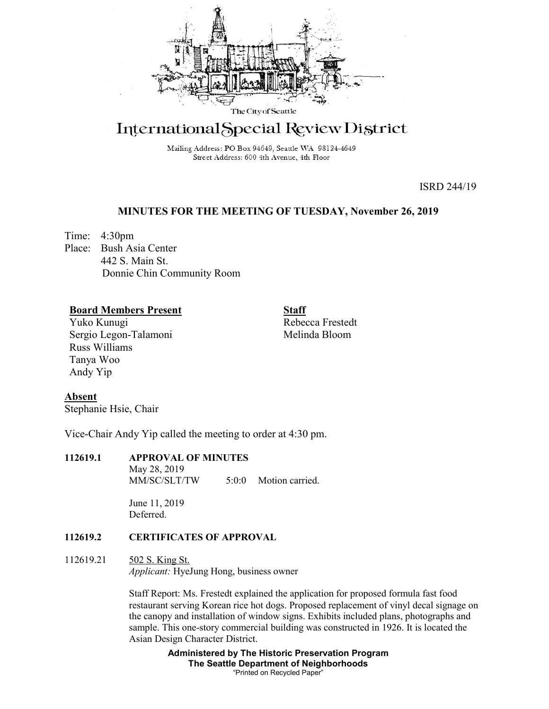

# International Special Review District

Mailing Address: PO Box 94649, Seattle WA 98124-4649 Street Address: 600 4th Avenue, 4th Floor

ISRD 244/19

# **MINUTES FOR THE MEETING OF TUESDAY, November 26, 2019**

Time: 4:30pm Place: Bush Asia Center 442 S. Main St. Donnie Chin Community Room

## **Board Members Present**

Yuko Kunugi Sergio Legon-Talamoni Russ Williams Tanya Woo Andy Yip

**Staff** Rebecca Frestedt Melinda Bloom

**Absent** Stephanie Hsie, Chair

Vice-Chair Andy Yip called the meeting to order at 4:30 pm.

## **112619.1 APPROVAL OF MINUTES**

May 28, 2019 MM/SC/SLT/TW 5:0:0 Motion carried.

June 11, 2019 Deferred.

## **112619.2 CERTIFICATES OF APPROVAL**

#### 112619.21 502 S. King St. *Applicant:* HyeJung Hong, business owner

Staff Report: Ms. Frestedt explained the application for proposed formula fast food restaurant serving Korean rice hot dogs. Proposed replacement of vinyl decal signage on the canopy and installation of window signs. Exhibits included plans, photographs and sample. This one-story commercial building was constructed in 1926. It is located the Asian Design Character District.

> **Administered by The Historic Preservation Program The Seattle Department of Neighborhoods** "Printed on Recycled Paper"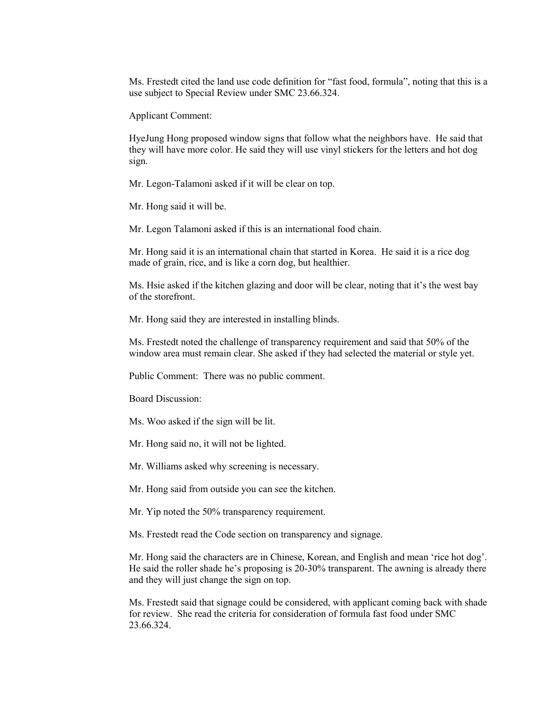Ms. Frestedt cited the land use code definition for "fast food, formula", noting that this is a use subject to Special Review under SMC 23.66.324.

Applicant Comment:

HyeJung Hong proposed window signs that follow what the neighbors have. He said that they will have more color. He said they will use vinyl stickers for the letters and hot dog sign.

Mr. Legon-Talamoni asked if it will be clear on top.

Mr. Hong said it will be.

Mr. Legon Talamoni asked if this is an international food chain.

Mr. Hong said it is an international chain that started in Korea. He said it is a rice dog made of grain, rice, and is like a corn dog, but healthier.

Ms. Hsie asked if the kitchen glazing and door will be clear, noting that it's the west bay of the storefront.

Mr. Hong said they are interested in installing blinds.

Ms. Frestedt noted the challenge of transparency requirement and said that 50% of the window area must remain clear. She asked if they had selected the material or style yet.

Public Comment: There was no public comment.

Board Discussion:

Ms. Woo asked if the sign will be lit.

Mr. Hong said no, it will not be lighted.

Mr. Williams asked why screening is necessary.

Mr. Hong said from outside you can see the kitchen.

Mr. Yip noted the 50% transparency requirement.

Ms. Frestedt read the Code section on transparency and signage.

Mr. Hong said the characters are in Chinese, Korean, and English and mean 'rice hot dog'. He said the roller shade he's proposing is 20-30% transparent. The awning is already there and they will just change the sign on top.

Ms. Frestedt said that signage could be considered, with applicant coming back with shade for review. She read the criteria for consideration of formula fast food under SMC 23.66.324.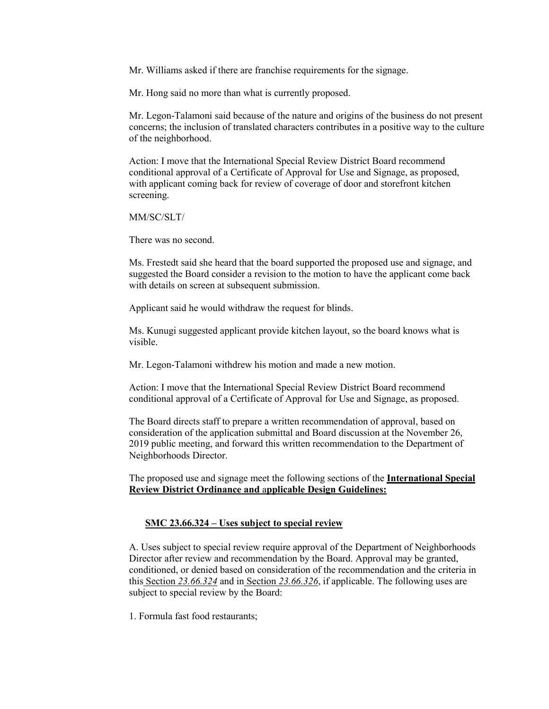Mr. Williams asked if there are franchise requirements for the signage.

Mr. Hong said no more than what is currently proposed.

Mr. Legon-Talamoni said because of the nature and origins of the business do not present concerns; the inclusion of translated characters contributes in a positive way to the culture of the neighborhood.

Action: I move that the International Special Review District Board recommend conditional approval of a Certificate of Approval for Use and Signage, as proposed, with applicant coming back for review of coverage of door and storefront kitchen screening.

MM/SC/SLT/

There was no second.

Ms. Frestedt said she heard that the board supported the proposed use and signage, and suggested the Board consider a revision to the motion to have the applicant come back with details on screen at subsequent submission.

Applicant said he would withdraw the request for blinds.

Ms. Kunugi suggested applicant provide kitchen layout, so the board knows what is visible.

Mr. Legon-Talamoni withdrew his motion and made a new motion.

Action: I move that the International Special Review District Board recommend conditional approval of a Certificate of Approval for Use and Signage, as proposed.

The Board directs staff to prepare a written recommendation of approval, based on consideration of the application submittal and Board discussion at the November 26, 2019 public meeting, and forward this written recommendation to the Department of Neighborhoods Director.

The proposed use and signage meet the following sections of the **International Special Review District Ordinance and** a**pplicable Design Guidelines:**

#### **SMC 23.66.324 – [Uses subject to special review](https://library.municode.com/wa/seattle/codes/municipal_code?nodeId=TIT23LAUSCO_SUBTITLE_IIILAUSRE_CH23.66SPREDI_SUBCHAPTER_IIIINSPREDI_23.66.324USSUSPRE)**

A. Uses subject to special review require approval of the Department of Neighborhoods Director after review and recommendation by the Board. Approval may be granted, conditioned, or denied based on consideration of the recommendation and the criteria in this Section *[23.66.324](https://library.municode.com/wa/seattle/codes/municipal_code?nodeId=TIT23LAUSCO_SUBTITLE_IIILAUSRE_CH23.66SPREDI_SUBCHAPTER_IIIINSPREDI_23.66.324USSUSPRE)* and in Section *[23.66.326](https://library.municode.com/wa/seattle/codes/municipal_code?nodeId=TIT23LAUSCO_SUBTITLE_IIILAUSRE_CH23.66SPREDI_SUBCHAPTER_IIIINSPREDI_23.66.326STVEUS)*, if applicable. The following uses are subject to special review by the Board:

1. Formula fast food restaurants;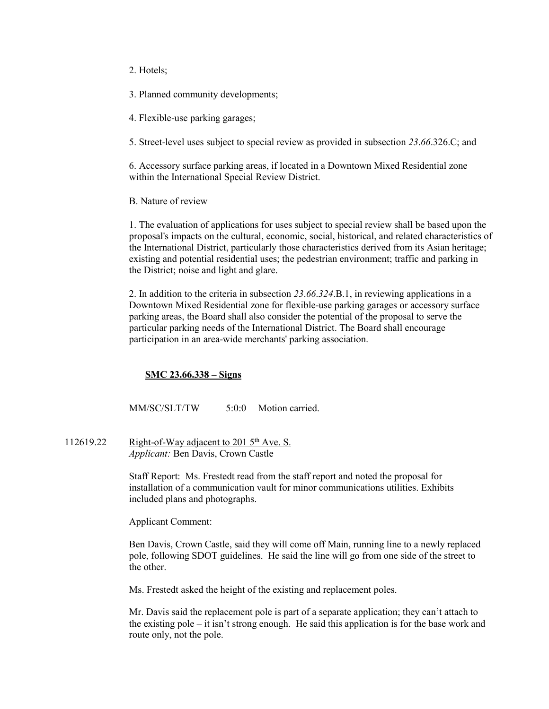#### 2. Hotels;

3. Planned community developments;

4. Flexible-use parking garages;

5. Street-level uses subject to special review as provided in subsection *23*.*66*.326.C; and

6. Accessory surface parking areas, if located in a Downtown Mixed Residential zone within the International Special Review District.

B. Nature of review

1. The evaluation of applications for uses subject to special review shall be based upon the proposal's impacts on the cultural, economic, social, historical, and related characteristics of the International District, particularly those characteristics derived from its Asian heritage; existing and potential residential uses; the pedestrian environment; traffic and parking in the District; noise and light and glare.

2. In addition to the criteria in subsection *23*.*66*.*324*.B.1, in reviewing applications in a Downtown Mixed Residential zone for flexible-use parking garages or accessory surface parking areas, the Board shall also consider the potential of the proposal to serve the particular parking needs of the International District. The Board shall encourage participation in an area-wide merchants' parking association.

## **[SMC 23.66.338 –](https://library.municode.com/wa/seattle/codes/municipal_code?nodeId=TIT23LAUSCO_SUBTITLE_IIILAUSRE_CH23.66SPREDI_SUBCHAPTER_IIIINSPREDI_23.66.338SI) Signs**

MM/SC/SLT/TW 5:0:0 Motion carried.

112619.22 Right-of-Way adjacent to 201  $5<sup>th</sup>$  Ave. S. *Applicant:* Ben Davis, Crown Castle

> Staff Report: Ms. Frestedt read from the staff report and noted the proposal for installation of a communication vault for minor communications utilities. Exhibits included plans and photographs.

Applicant Comment:

Ben Davis, Crown Castle, said they will come off Main, running line to a newly replaced pole, following SDOT guidelines. He said the line will go from one side of the street to the other.

Ms. Frestedt asked the height of the existing and replacement poles.

Mr. Davis said the replacement pole is part of a separate application; they can't attach to the existing pole – it isn't strong enough. He said this application is for the base work and route only, not the pole.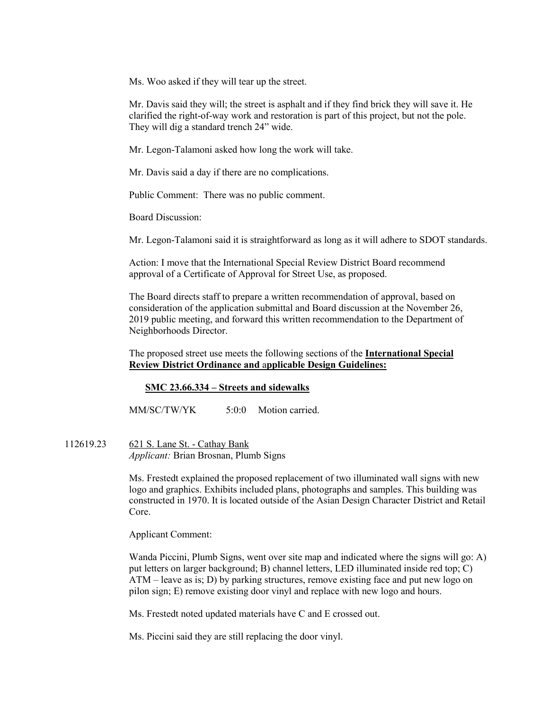Ms. Woo asked if they will tear up the street.

Mr. Davis said they will; the street is asphalt and if they find brick they will save it. He clarified the right-of-way work and restoration is part of this project, but not the pole. They will dig a standard trench 24" wide.

Mr. Legon-Talamoni asked how long the work will take.

Mr. Davis said a day if there are no complications.

Public Comment: There was no public comment.

Board Discussion:

Mr. Legon-Talamoni said it is straightforward as long as it will adhere to SDOT standards.

Action: I move that the International Special Review District Board recommend approval of a Certificate of Approval for Street Use, as proposed.

The Board directs staff to prepare a written recommendation of approval, based on consideration of the application submittal and Board discussion at the November 26, 2019 public meeting, and forward this written recommendation to the Department of Neighborhoods Director.

The proposed street use meets the following sections of the **International Special Review District Ordinance and** a**pplicable Design Guidelines:**

#### **SMC 23.66.334 – [Streets and sidewalks](https://library.municode.com/wa/seattle/codes/municipal_code?nodeId=TIT23LAUSCO_SUBTITLE_IIILAUSRE_CH23.66SPREDI_SUBCHAPTER_IIIINSPREDI_23.66.334STSI)**

MM/SC/TW/YK 5:0:0 Motion carried.

112619.23 621 S. Lane St. - Cathay Bank *Applicant:* Brian Brosnan, Plumb Signs

> Ms. Frestedt explained the proposed replacement of two illuminated wall signs with new logo and graphics. Exhibits included plans, photographs and samples. This building was constructed in 1970. It is located outside of the Asian Design Character District and Retail Core.

Applicant Comment:

Wanda Piccini, Plumb Signs, went over site map and indicated where the signs will go: A) put letters on larger background; B) channel letters, LED illuminated inside red top; C) ATM – leave as is; D) by parking structures, remove existing face and put new logo on pilon sign; E) remove existing door vinyl and replace with new logo and hours.

Ms. Frestedt noted updated materials have C and E crossed out.

Ms. Piccini said they are still replacing the door vinyl.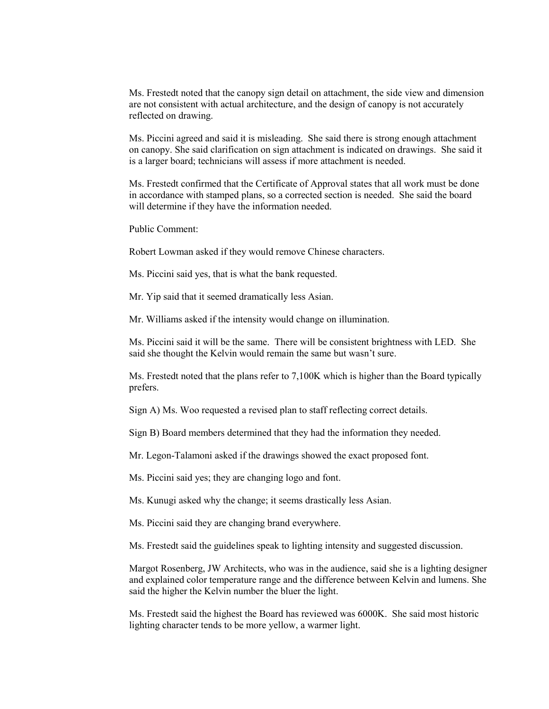Ms. Frestedt noted that the canopy sign detail on attachment, the side view and dimension are not consistent with actual architecture, and the design of canopy is not accurately reflected on drawing.

Ms. Piccini agreed and said it is misleading. She said there is strong enough attachment on canopy. She said clarification on sign attachment is indicated on drawings. She said it is a larger board; technicians will assess if more attachment is needed.

Ms. Frestedt confirmed that the Certificate of Approval states that all work must be done in accordance with stamped plans, so a corrected section is needed. She said the board will determine if they have the information needed.

Public Comment:

Robert Lowman asked if they would remove Chinese characters.

Ms. Piccini said yes, that is what the bank requested.

Mr. Yip said that it seemed dramatically less Asian.

Mr. Williams asked if the intensity would change on illumination.

Ms. Piccini said it will be the same. There will be consistent brightness with LED. She said she thought the Kelvin would remain the same but wasn't sure.

Ms. Frestedt noted that the plans refer to 7,100K which is higher than the Board typically prefers.

Sign A) Ms. Woo requested a revised plan to staff reflecting correct details.

Sign B) Board members determined that they had the information they needed.

Mr. Legon-Talamoni asked if the drawings showed the exact proposed font.

Ms. Piccini said yes; they are changing logo and font.

Ms. Kunugi asked why the change; it seems drastically less Asian.

Ms. Piccini said they are changing brand everywhere.

Ms. Frestedt said the guidelines speak to lighting intensity and suggested discussion.

Margot Rosenberg, JW Architects, who was in the audience, said she is a lighting designer and explained color temperature range and the difference between Kelvin and lumens. She said the higher the Kelvin number the bluer the light.

Ms. Frestedt said the highest the Board has reviewed was 6000K. She said most historic lighting character tends to be more yellow, a warmer light.